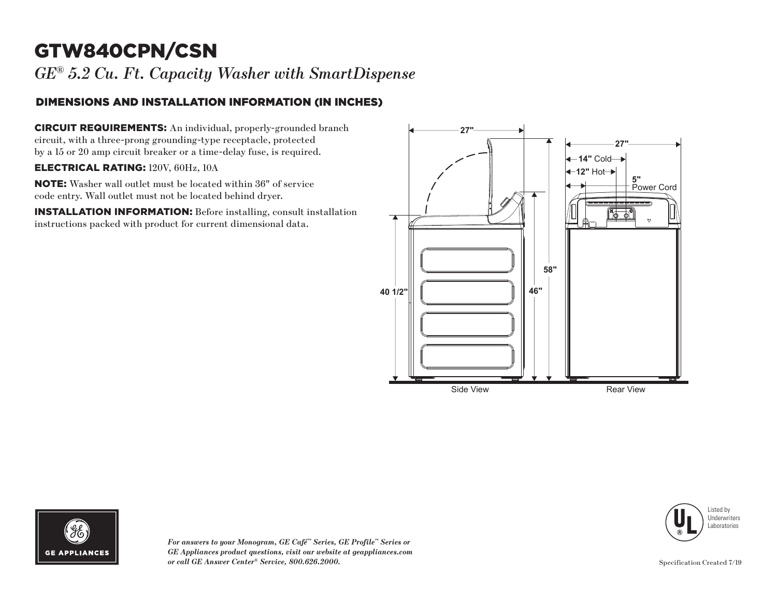# GTW840CPN/CSN

*GE® 5.2 Cu. Ft. Capacity Washer with SmartDispense*

### DIMENSIONS AND INSTALLATION INFORMATION (IN INCHES)

CIRCUIT REQUIREMENTS: An individual, properly-grounded branch circuit, with a three-prong grounding-type receptacle, protected by a 15 or 20 amp circuit breaker or a time-delay fuse, is required.

#### ELECTRICAL RATING: 120V, 60Hz, 10A

NOTE: Washer wall outlet must be located within 36" of service code entry. Wall outlet must not be located behind dryer.

INSTALLATION INFORMATION: Before installing, consult installation instructions packed with product for current dimensional data.







*For answers to your Monogram, GE Café™ Series, GE Profile™ Series or GE Appliances product questions, visit our website at geappliances.com or call GE Answer Center® Service, 800.626.2000.* Specification Created 7/19